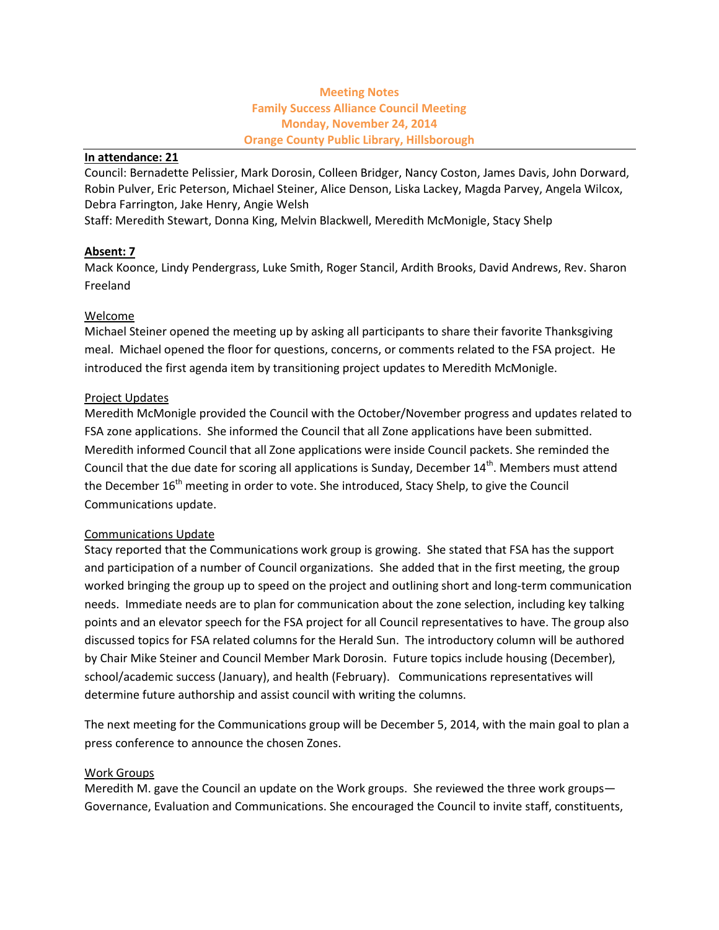# **Meeting Notes Family Success Alliance Council Meeting Monday, November 24, 2014 Orange County Public Library, Hillsborough**

#### **In attendance: 21**

Council: Bernadette Pelissier, Mark Dorosin, Colleen Bridger, Nancy Coston, James Davis, John Dorward, Robin Pulver, Eric Peterson, Michael Steiner, Alice Denson, Liska Lackey, Magda Parvey, Angela Wilcox, Debra Farrington, Jake Henry, Angie Welsh

Staff: Meredith Stewart, Donna King, Melvin Blackwell, Meredith McMonigle, Stacy Shelp

# **Absent: 7**

Mack Koonce, Lindy Pendergrass, Luke Smith, Roger Stancil, Ardith Brooks, David Andrews, Rev. Sharon Freeland

### Welcome

Michael Steiner opened the meeting up by asking all participants to share their favorite Thanksgiving meal. Michael opened the floor for questions, concerns, or comments related to the FSA project. He introduced the first agenda item by transitioning project updates to Meredith McMonigle.

### Project Updates

Meredith McMonigle provided the Council with the October/November progress and updates related to FSA zone applications. She informed the Council that all Zone applications have been submitted. Meredith informed Council that all Zone applications were inside Council packets. She reminded the Council that the due date for scoring all applications is Sunday, December  $14^{\text{th}}$ . Members must attend the December  $16<sup>th</sup>$  meeting in order to vote. She introduced, Stacy Shelp, to give the Council Communications update.

### Communications Update

Stacy reported that the Communications work group is growing. She stated that FSA has the support and participation of a number of Council organizations. She added that in the first meeting, the group worked bringing the group up to speed on the project and outlining short and long-term communication needs. Immediate needs are to plan for communication about the zone selection, including key talking points and an elevator speech for the FSA project for all Council representatives to have. The group also discussed topics for FSA related columns for the Herald Sun. The introductory column will be authored by Chair Mike Steiner and Council Member Mark Dorosin. Future topics include housing (December), school/academic success (January), and health (February). Communications representatives will determine future authorship and assist council with writing the columns.

The next meeting for the Communications group will be December 5, 2014, with the main goal to plan a press conference to announce the chosen Zones.

### Work Groups

Meredith M. gave the Council an update on the Work groups. She reviewed the three work groups— Governance, Evaluation and Communications. She encouraged the Council to invite staff, constituents,